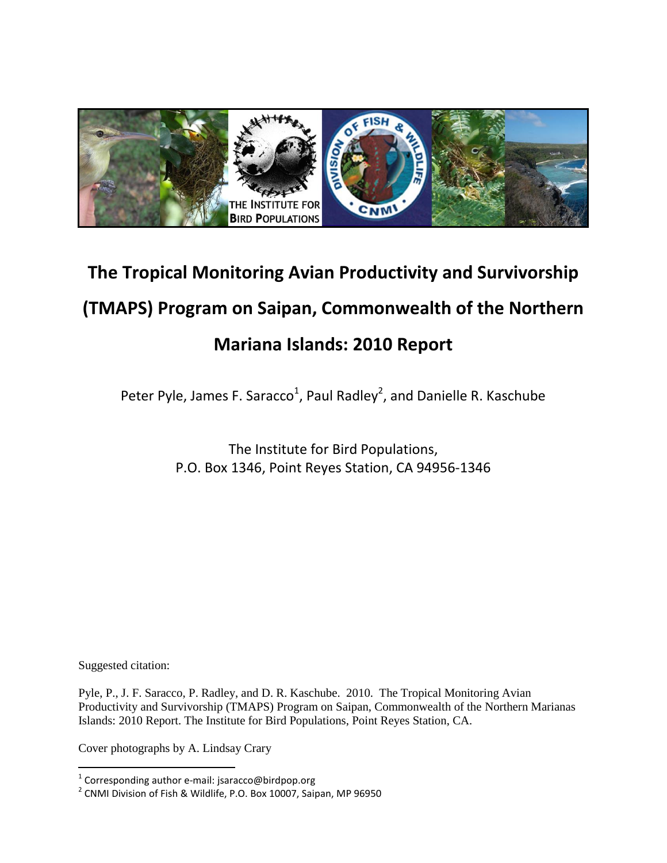

# **The Tropical Monitoring Avian Productivity and Survivorship (TMAPS) Program on Saipan, Commonwealth of the Northern Mariana Islands: 2010 Report**

Peter Pyle, James F. Saracco<sup>1</sup>, Paul Radley<sup>2</sup>, and Danielle R. Kaschube

The Institute for Bird Populations, P.O. Box 1346, Point Reyes Station, CA 94956-1346

Suggested citation:

Pyle, P., J. F. Saracco, P. Radley, and D. R. Kaschube. 2010. The Tropical Monitoring Avian Productivity and Survivorship (TMAPS) Program on Saipan, Commonwealth of the Northern Marianas Islands: 2010 Report. The Institute for Bird Populations, Point Reyes Station, CA.

Cover photographs by A. Lindsay Crary

 1 Corresponding author e-mail: jsaracco@birdpop.org

 $^2$  CNMI Division of Fish & Wildlife, P.O. Box 10007, Saipan, MP 96950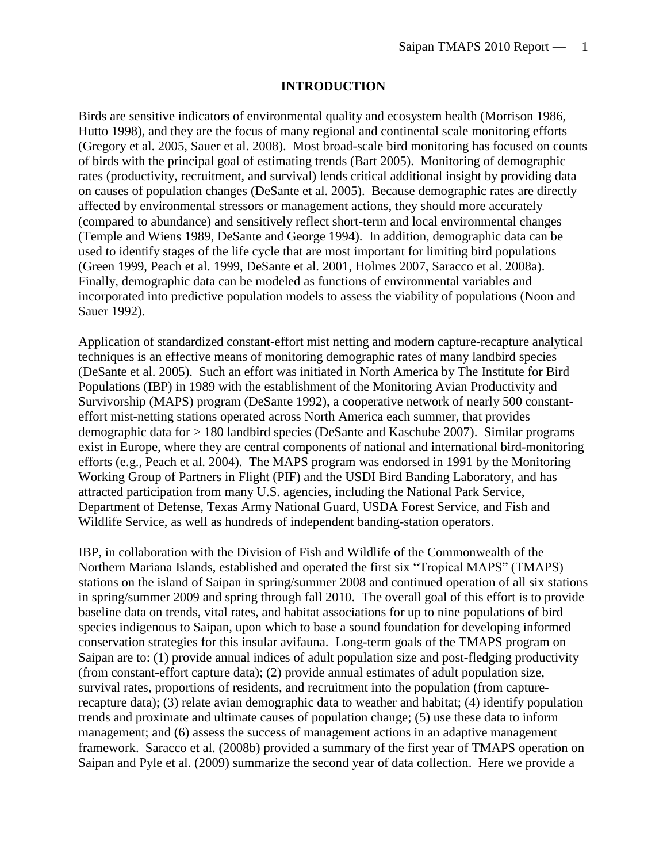#### **INTRODUCTION**

Birds are sensitive indicators of environmental quality and ecosystem health (Morrison 1986, Hutto 1998), and they are the focus of many regional and continental scale monitoring efforts (Gregory et al. 2005, Sauer et al. 2008). Most broad-scale bird monitoring has focused on counts of birds with the principal goal of estimating trends (Bart 2005). Monitoring of demographic rates (productivity, recruitment, and survival) lends critical additional insight by providing data on causes of population changes (DeSante et al. 2005). Because demographic rates are directly affected by environmental stressors or management actions, they should more accurately (compared to abundance) and sensitively reflect short-term and local environmental changes (Temple and Wiens 1989, DeSante and George 1994). In addition, demographic data can be used to identify stages of the life cycle that are most important for limiting bird populations (Green 1999, Peach et al. 1999, DeSante et al. 2001, Holmes 2007, Saracco et al. 2008a). Finally, demographic data can be modeled as functions of environmental variables and incorporated into predictive population models to assess the viability of populations (Noon and Sauer 1992).

Application of standardized constant-effort mist netting and modern capture-recapture analytical techniques is an effective means of monitoring demographic rates of many landbird species (DeSante et al. 2005). Such an effort was initiated in North America by The Institute for Bird Populations (IBP) in 1989 with the establishment of the Monitoring Avian Productivity and Survivorship (MAPS) program (DeSante 1992), a cooperative network of nearly 500 constanteffort mist-netting stations operated across North America each summer, that provides demographic data for > 180 landbird species (DeSante and Kaschube 2007). Similar programs exist in Europe, where they are central components of national and international bird-monitoring efforts (e.g., Peach et al. 2004). The MAPS program was endorsed in 1991 by the Monitoring Working Group of Partners in Flight (PIF) and the USDI Bird Banding Laboratory, and has attracted participation from many U.S. agencies, including the National Park Service, Department of Defense, Texas Army National Guard, USDA Forest Service, and Fish and Wildlife Service, as well as hundreds of independent banding-station operators.

IBP, in collaboration with the Division of Fish and Wildlife of the Commonwealth of the Northern Mariana Islands, established and operated the first six "Tropical MAPS" (TMAPS) stations on the island of Saipan in spring/summer 2008 and continued operation of all six stations in spring/summer 2009 and spring through fall 2010. The overall goal of this effort is to provide baseline data on trends, vital rates, and habitat associations for up to nine populations of bird species indigenous to Saipan, upon which to base a sound foundation for developing informed conservation strategies for this insular avifauna. Long-term goals of the TMAPS program on Saipan are to: (1) provide annual indices of adult population size and post-fledging productivity (from constant-effort capture data); (2) provide annual estimates of adult population size, survival rates, proportions of residents, and recruitment into the population (from capturerecapture data); (3) relate avian demographic data to weather and habitat; (4) identify population trends and proximate and ultimate causes of population change; (5) use these data to inform management; and (6) assess the success of management actions in an adaptive management framework. Saracco et al. (2008b) provided a summary of the first year of TMAPS operation on Saipan and Pyle et al. (2009) summarize the second year of data collection. Here we provide a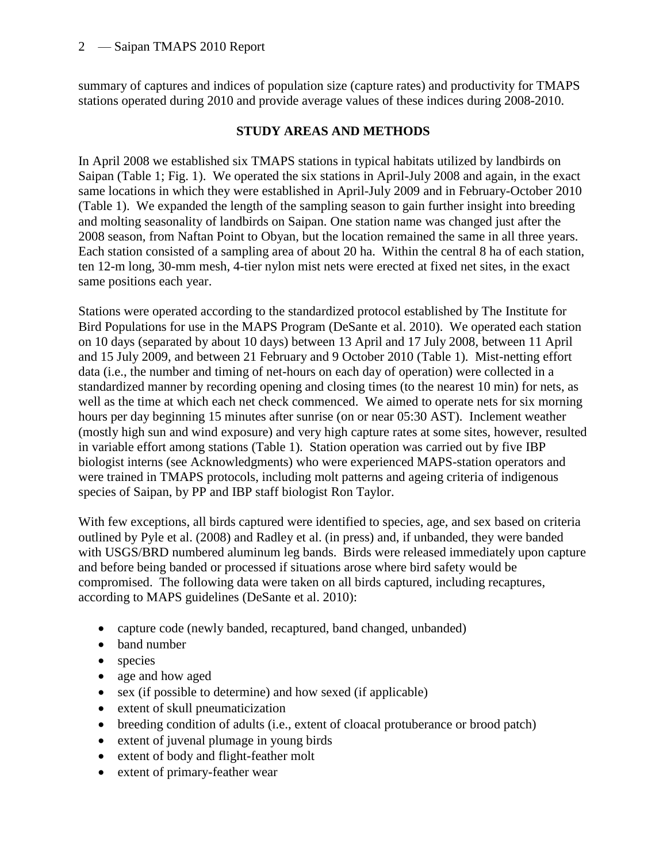summary of captures and indices of population size (capture rates) and productivity for TMAPS stations operated during 2010 and provide average values of these indices during 2008-2010.

### **STUDY AREAS AND METHODS**

In April 2008 we established six TMAPS stations in typical habitats utilized by landbirds on Saipan (Table 1; Fig. 1). We operated the six stations in April-July 2008 and again, in the exact same locations in which they were established in April-July 2009 and in February-October 2010 (Table 1). We expanded the length of the sampling season to gain further insight into breeding and molting seasonality of landbirds on Saipan. One station name was changed just after the 2008 season, from Naftan Point to Obyan, but the location remained the same in all three years. Each station consisted of a sampling area of about 20 ha. Within the central 8 ha of each station, ten 12-m long, 30-mm mesh, 4-tier nylon mist nets were erected at fixed net sites, in the exact same positions each year.

Stations were operated according to the standardized protocol established by The Institute for Bird Populations for use in the MAPS Program (DeSante et al. 2010). We operated each station on 10 days (separated by about 10 days) between 13 April and 17 July 2008, between 11 April and 15 July 2009, and between 21 February and 9 October 2010 (Table 1). Mist-netting effort data (i.e., the number and timing of net-hours on each day of operation) were collected in a standardized manner by recording opening and closing times (to the nearest 10 min) for nets, as well as the time at which each net check commenced. We aimed to operate nets for six morning hours per day beginning 15 minutes after sunrise (on or near 05:30 AST). Inclement weather (mostly high sun and wind exposure) and very high capture rates at some sites, however, resulted in variable effort among stations (Table 1). Station operation was carried out by five IBP biologist interns (see Acknowledgments) who were experienced MAPS-station operators and were trained in TMAPS protocols, including molt patterns and ageing criteria of indigenous species of Saipan, by PP and IBP staff biologist Ron Taylor.

With few exceptions, all birds captured were identified to species, age, and sex based on criteria outlined by Pyle et al. (2008) and Radley et al. (in press) and, if unbanded, they were banded with USGS/BRD numbered aluminum leg bands. Birds were released immediately upon capture and before being banded or processed if situations arose where bird safety would be compromised. The following data were taken on all birds captured, including recaptures, according to MAPS guidelines (DeSante et al. 2010):

- capture code (newly banded, recaptured, band changed, unbanded)
- band number
- species
- age and how aged
- sex (if possible to determine) and how sexed (if applicable)
- extent of skull pneumaticization
- breeding condition of adults (i.e., extent of cloacal protuberance or brood patch)
- extent of juvenal plumage in young birds
- extent of body and flight-feather molt
- extent of primary-feather wear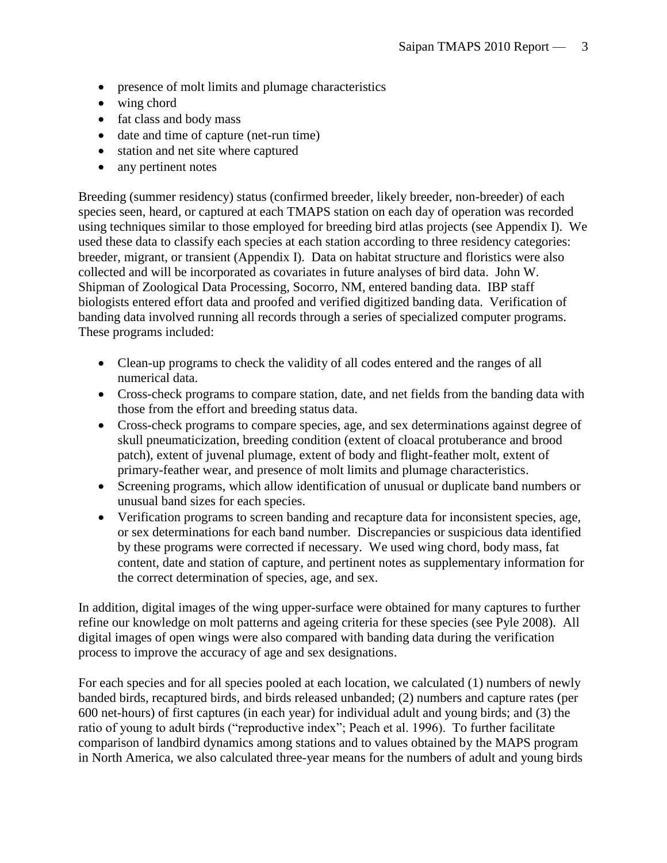- presence of molt limits and plumage characteristics
- wing chord
- fat class and body mass
- date and time of capture (net-run time)
- station and net site where captured
- any pertinent notes

Breeding (summer residency) status (confirmed breeder, likely breeder, non-breeder) of each species seen, heard, or captured at each TMAPS station on each day of operation was recorded using techniques similar to those employed for breeding bird atlas projects (see Appendix I). We used these data to classify each species at each station according to three residency categories: breeder, migrant, or transient (Appendix I). Data on habitat structure and floristics were also collected and will be incorporated as covariates in future analyses of bird data. John W. Shipman of Zoological Data Processing, Socorro, NM, entered banding data. IBP staff biologists entered effort data and proofed and verified digitized banding data. Verification of banding data involved running all records through a series of specialized computer programs. These programs included:

- Clean-up programs to check the validity of all codes entered and the ranges of all numerical data.
- Cross-check programs to compare station, date, and net fields from the banding data with those from the effort and breeding status data.
- Cross-check programs to compare species, age, and sex determinations against degree of skull pneumaticization, breeding condition (extent of cloacal protuberance and brood patch), extent of juvenal plumage, extent of body and flight-feather molt, extent of primary-feather wear, and presence of molt limits and plumage characteristics.
- Screening programs, which allow identification of unusual or duplicate band numbers or unusual band sizes for each species.
- Verification programs to screen banding and recapture data for inconsistent species, age, or sex determinations for each band number. Discrepancies or suspicious data identified by these programs were corrected if necessary. We used wing chord, body mass, fat content, date and station of capture, and pertinent notes as supplementary information for the correct determination of species, age, and sex.

In addition, digital images of the wing upper-surface were obtained for many captures to further refine our knowledge on molt patterns and ageing criteria for these species (see Pyle 2008). All digital images of open wings were also compared with banding data during the verification process to improve the accuracy of age and sex designations.

For each species and for all species pooled at each location, we calculated (1) numbers of newly banded birds, recaptured birds, and birds released unbanded; (2) numbers and capture rates (per 600 net-hours) of first captures (in each year) for individual adult and young birds; and (3) the ratio of young to adult birds ("reproductive index"; Peach et al. 1996). To further facilitate comparison of landbird dynamics among stations and to values obtained by the MAPS program in North America, we also calculated three-year means for the numbers of adult and young birds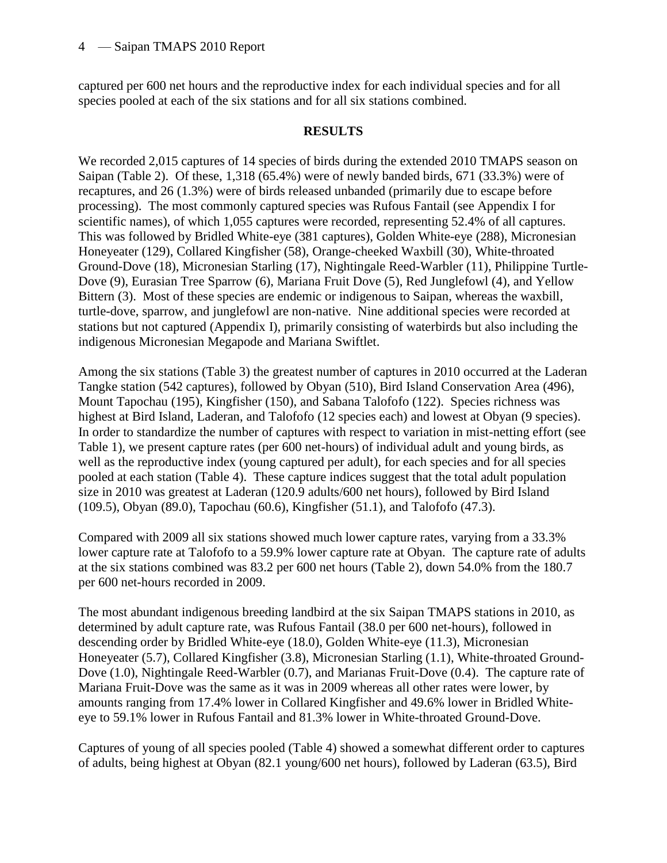captured per 600 net hours and the reproductive index for each individual species and for all species pooled at each of the six stations and for all six stations combined.

#### **RESULTS**

We recorded 2,015 captures of 14 species of birds during the extended 2010 TMAPS season on Saipan (Table 2). Of these, 1,318 (65.4%) were of newly banded birds, 671 (33.3%) were of recaptures, and 26 (1.3%) were of birds released unbanded (primarily due to escape before processing). The most commonly captured species was Rufous Fantail (see Appendix I for scientific names), of which 1,055 captures were recorded, representing 52.4% of all captures. This was followed by Bridled White-eye (381 captures), Golden White-eye (288), Micronesian Honeyeater (129), Collared Kingfisher (58), Orange-cheeked Waxbill (30), White-throated Ground-Dove (18), Micronesian Starling (17), Nightingale Reed-Warbler (11), Philippine Turtle-Dove (9), Eurasian Tree Sparrow (6), Mariana Fruit Dove (5), Red Junglefowl (4), and Yellow Bittern (3). Most of these species are endemic or indigenous to Saipan, whereas the waxbill, turtle-dove, sparrow, and junglefowl are non-native. Nine additional species were recorded at stations but not captured (Appendix I), primarily consisting of waterbirds but also including the indigenous Micronesian Megapode and Mariana Swiftlet.

Among the six stations (Table 3) the greatest number of captures in 2010 occurred at the Laderan Tangke station (542 captures), followed by Obyan (510), Bird Island Conservation Area (496), Mount Tapochau (195), Kingfisher (150), and Sabana Talofofo (122). Species richness was highest at Bird Island, Laderan, and Talofofo (12 species each) and lowest at Obyan (9 species). In order to standardize the number of captures with respect to variation in mist-netting effort (see Table 1), we present capture rates (per 600 net-hours) of individual adult and young birds, as well as the reproductive index (young captured per adult), for each species and for all species pooled at each station (Table 4). These capture indices suggest that the total adult population size in 2010 was greatest at Laderan (120.9 adults/600 net hours), followed by Bird Island (109.5), Obyan (89.0), Tapochau (60.6), Kingfisher (51.1), and Talofofo (47.3).

Compared with 2009 all six stations showed much lower capture rates, varying from a 33.3% lower capture rate at Talofofo to a 59.9% lower capture rate at Obyan. The capture rate of adults at the six stations combined was 83.2 per 600 net hours (Table 2), down 54.0% from the 180.7 per 600 net-hours recorded in 2009.

The most abundant indigenous breeding landbird at the six Saipan TMAPS stations in 2010, as determined by adult capture rate, was Rufous Fantail (38.0 per 600 net-hours), followed in descending order by Bridled White-eye (18.0), Golden White-eye (11.3), Micronesian Honeyeater (5.7), Collared Kingfisher (3.8), Micronesian Starling (1.1), White-throated Ground-Dove (1.0), Nightingale Reed-Warbler (0.7), and Marianas Fruit-Dove (0.4). The capture rate of Mariana Fruit-Dove was the same as it was in 2009 whereas all other rates were lower, by amounts ranging from 17.4% lower in Collared Kingfisher and 49.6% lower in Bridled Whiteeye to 59.1% lower in Rufous Fantail and 81.3% lower in White-throated Ground-Dove.

Captures of young of all species pooled (Table 4) showed a somewhat different order to captures of adults, being highest at Obyan (82.1 young/600 net hours), followed by Laderan (63.5), Bird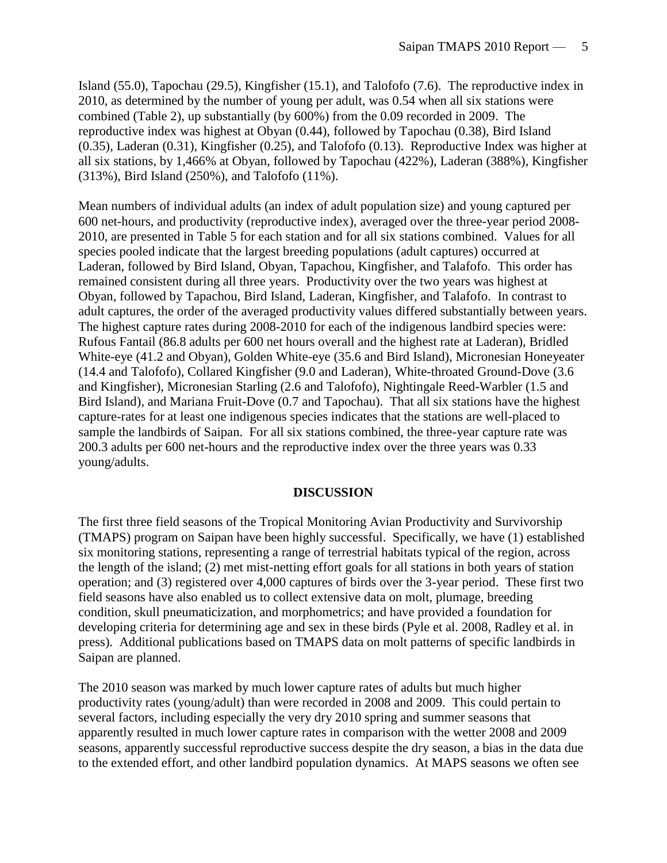Island (55.0), Tapochau (29.5), Kingfisher (15.1), and Talofofo (7.6). The reproductive index in 2010, as determined by the number of young per adult, was 0.54 when all six stations were combined (Table 2), up substantially (by 600%) from the 0.09 recorded in 2009. The reproductive index was highest at Obyan (0.44), followed by Tapochau (0.38), Bird Island (0.35), Laderan (0.31), Kingfisher (0.25), and Talofofo (0.13). Reproductive Index was higher at all six stations, by 1,466% at Obyan, followed by Tapochau (422%), Laderan (388%), Kingfisher (313%), Bird Island (250%), and Talofofo (11%).

Mean numbers of individual adults (an index of adult population size) and young captured per 600 net-hours, and productivity (reproductive index), averaged over the three-year period 2008- 2010, are presented in Table 5 for each station and for all six stations combined. Values for all species pooled indicate that the largest breeding populations (adult captures) occurred at Laderan, followed by Bird Island, Obyan, Tapachou, Kingfisher, and Talafofo. This order has remained consistent during all three years. Productivity over the two years was highest at Obyan, followed by Tapachou, Bird Island, Laderan, Kingfisher, and Talafofo. In contrast to adult captures, the order of the averaged productivity values differed substantially between years. The highest capture rates during 2008-2010 for each of the indigenous landbird species were: Rufous Fantail (86.8 adults per 600 net hours overall and the highest rate at Laderan), Bridled White-eye (41.2 and Obyan), Golden White-eye (35.6 and Bird Island), Micronesian Honeyeater (14.4 and Talofofo), Collared Kingfisher (9.0 and Laderan), White-throated Ground-Dove (3.6 and Kingfisher), Micronesian Starling (2.6 and Talofofo), Nightingale Reed-Warbler (1.5 and Bird Island), and Mariana Fruit-Dove (0.7 and Tapochau). That all six stations have the highest capture-rates for at least one indigenous species indicates that the stations are well-placed to sample the landbirds of Saipan. For all six stations combined, the three-year capture rate was 200.3 adults per 600 net-hours and the reproductive index over the three years was 0.33 young/adults.

#### **DISCUSSION**

The first three field seasons of the Tropical Monitoring Avian Productivity and Survivorship (TMAPS) program on Saipan have been highly successful. Specifically, we have (1) established six monitoring stations, representing a range of terrestrial habitats typical of the region, across the length of the island; (2) met mist-netting effort goals for all stations in both years of station operation; and (3) registered over 4,000 captures of birds over the 3-year period. These first two field seasons have also enabled us to collect extensive data on molt, plumage, breeding condition, skull pneumaticization, and morphometrics; and have provided a foundation for developing criteria for determining age and sex in these birds (Pyle et al. 2008, Radley et al. in press). Additional publications based on TMAPS data on molt patterns of specific landbirds in Saipan are planned.

The 2010 season was marked by much lower capture rates of adults but much higher productivity rates (young/adult) than were recorded in 2008 and 2009. This could pertain to several factors, including especially the very dry 2010 spring and summer seasons that apparently resulted in much lower capture rates in comparison with the wetter 2008 and 2009 seasons, apparently successful reproductive success despite the dry season, a bias in the data due to the extended effort, and other landbird population dynamics. At MAPS seasons we often see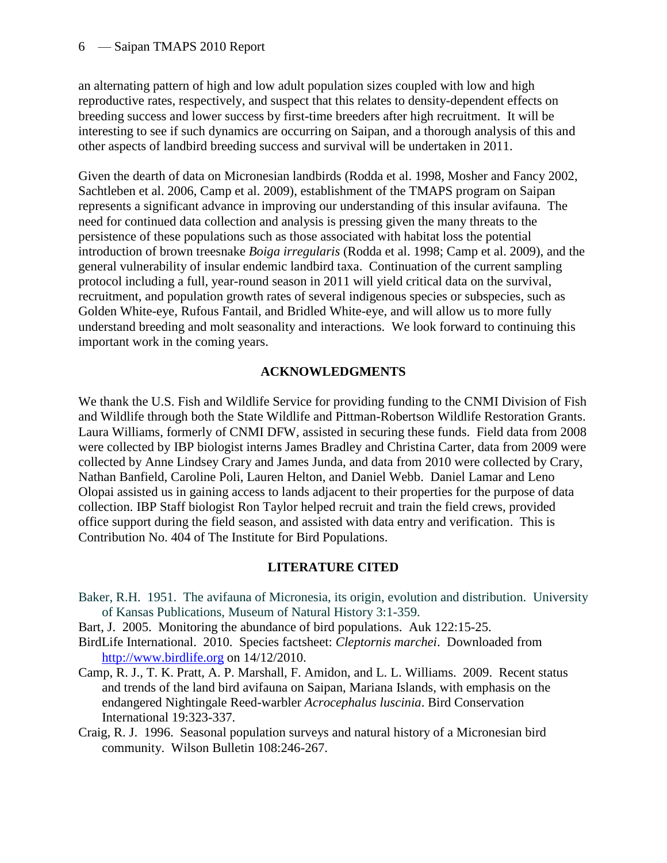an alternating pattern of high and low adult population sizes coupled with low and high reproductive rates, respectively, and suspect that this relates to density-dependent effects on breeding success and lower success by first-time breeders after high recruitment. It will be interesting to see if such dynamics are occurring on Saipan, and a thorough analysis of this and other aspects of landbird breeding success and survival will be undertaken in 2011.

Given the dearth of data on Micronesian landbirds (Rodda et al. 1998, Mosher and Fancy 2002, Sachtleben et al. 2006, Camp et al. 2009), establishment of the TMAPS program on Saipan represents a significant advance in improving our understanding of this insular avifauna. The need for continued data collection and analysis is pressing given the many threats to the persistence of these populations such as those associated with habitat loss the potential introduction of brown treesnake *Boiga irregularis* (Rodda et al. 1998; Camp et al. 2009), and the general vulnerability of insular endemic landbird taxa. Continuation of the current sampling protocol including a full, year-round season in 2011 will yield critical data on the survival, recruitment, and population growth rates of several indigenous species or subspecies, such as Golden White-eye, Rufous Fantail, and Bridled White-eye, and will allow us to more fully understand breeding and molt seasonality and interactions. We look forward to continuing this important work in the coming years.

## **ACKNOWLEDGMENTS**

We thank the U.S. Fish and Wildlife Service for providing funding to the CNMI Division of Fish and Wildlife through both the State Wildlife and Pittman-Robertson Wildlife Restoration Grants. Laura Williams, formerly of CNMI DFW, assisted in securing these funds. Field data from 2008 were collected by IBP biologist interns James Bradley and Christina Carter, data from 2009 were collected by Anne Lindsey Crary and James Junda, and data from 2010 were collected by Crary, Nathan Banfield, Caroline Poli, Lauren Helton, and Daniel Webb. Daniel Lamar and Leno Olopai assisted us in gaining access to lands adjacent to their properties for the purpose of data collection. IBP Staff biologist Ron Taylor helped recruit and train the field crews, provided office support during the field season, and assisted with data entry and verification. This is Contribution No. 404 of The Institute for Bird Populations.

## **LITERATURE CITED**

- Baker, R.H. 1951. The avifauna of Micronesia, its origin, evolution and distribution. University of Kansas Publications, Museum of Natural History 3:1-359.
- Bart, J. 2005. Monitoring the abundance of bird populations. Auk 122:15-25.
- BirdLife International. 2010. Species factsheet: *Cleptornis marchei*. Downloaded from [http://www.birdlife.org](http://www.birdlife.org/) on 14/12/2010.
- Camp, R. J., T. K. Pratt, A. P. Marshall, F. Amidon, and L. L. Williams. 2009. Recent status and trends of the land bird avifauna on Saipan, Mariana Islands, with emphasis on the endangered Nightingale Reed-warbler *Acrocephalus luscinia*. Bird Conservation International 19:323-337.
- Craig, R. J. 1996. Seasonal population surveys and natural history of a Micronesian bird community. Wilson Bulletin 108:246-267.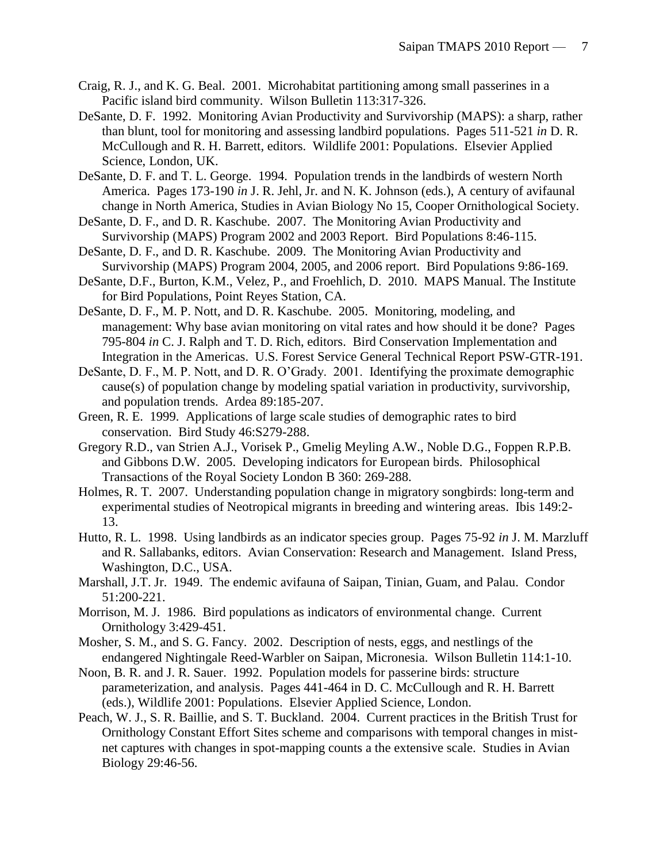- Craig, R. J., and K. G. Beal. 2001. Microhabitat partitioning among small passerines in a Pacific island bird community. Wilson Bulletin 113:317-326.
- DeSante, D. F. 1992. Monitoring Avian Productivity and Survivorship (MAPS): a sharp, rather than blunt, tool for monitoring and assessing landbird populations. Pages 511-521 *in* D. R. McCullough and R. H. Barrett, editors. Wildlife 2001: Populations. Elsevier Applied Science, London, UK.
- DeSante, D. F. and T. L. George. 1994. Population trends in the landbirds of western North America. Pages 173-190 *in* J. R. Jehl, Jr. and N. K. Johnson (eds.), A century of avifaunal change in North America, Studies in Avian Biology No 15, Cooper Ornithological Society.
- DeSante, D. F., and D. R. Kaschube. 2007. The Monitoring Avian Productivity and Survivorship (MAPS) Program 2002 and 2003 Report. Bird Populations 8:46-115.
- DeSante, D. F., and D. R. Kaschube. 2009. The Monitoring Avian Productivity and Survivorship (MAPS) Program 2004, 2005, and 2006 report. Bird Populations 9:86-169.
- DeSante, D.F., Burton, K.M., Velez, P., and Froehlich, D. 2010. MAPS Manual. The Institute for Bird Populations, Point Reyes Station, CA.
- DeSante, D. F., M. P. Nott, and D. R. Kaschube. 2005. Monitoring, modeling, and management: Why base avian monitoring on vital rates and how should it be done? Pages 795-804 *in* C. J. Ralph and T. D. Rich, editors. Bird Conservation Implementation and Integration in the Americas. U.S. Forest Service General Technical Report PSW-GTR-191.
- DeSante, D. F., M. P. Nott, and D. R. O'Grady. 2001. Identifying the proximate demographic cause(s) of population change by modeling spatial variation in productivity, survivorship, and population trends. Ardea 89:185-207.
- Green, R. E. 1999. Applications of large scale studies of demographic rates to bird conservation. Bird Study 46:S279-288.
- Gregory R.D., van Strien A.J., Vorisek P., Gmelig Meyling A.W., Noble D.G., Foppen R.P.B. and Gibbons D.W. 2005. Developing indicators for European birds. Philosophical Transactions of the Royal Society London B 360: 269-288.
- Holmes, R. T. 2007. Understanding population change in migratory songbirds: long-term and experimental studies of Neotropical migrants in breeding and wintering areas. Ibis 149:2- 13.
- Hutto, R. L. 1998. Using landbirds as an indicator species group. Pages 75-92 *in* J. M. Marzluff and R. Sallabanks, editors. Avian Conservation: Research and Management. Island Press, Washington, D.C., USA.
- Marshall, J.T. Jr. 1949. The endemic avifauna of Saipan, Tinian, Guam, and Palau. Condor 51:200-221.
- Morrison, M. J. 1986. Bird populations as indicators of environmental change. Current Ornithology 3:429-451.
- Mosher, S. M., and S. G. Fancy. 2002. Description of nests, eggs, and nestlings of the endangered Nightingale Reed-Warbler on Saipan, Micronesia. Wilson Bulletin 114:1-10.
- Noon, B. R. and J. R. Sauer. 1992. Population models for passerine birds: structure parameterization, and analysis. Pages 441-464 in D. C. McCullough and R. H. Barrett (eds.), Wildlife 2001: Populations. Elsevier Applied Science, London.
- Peach, W. J., S. R. Baillie, and S. T. Buckland. 2004. Current practices in the British Trust for Ornithology Constant Effort Sites scheme and comparisons with temporal changes in mistnet captures with changes in spot-mapping counts a the extensive scale. Studies in Avian Biology 29:46-56.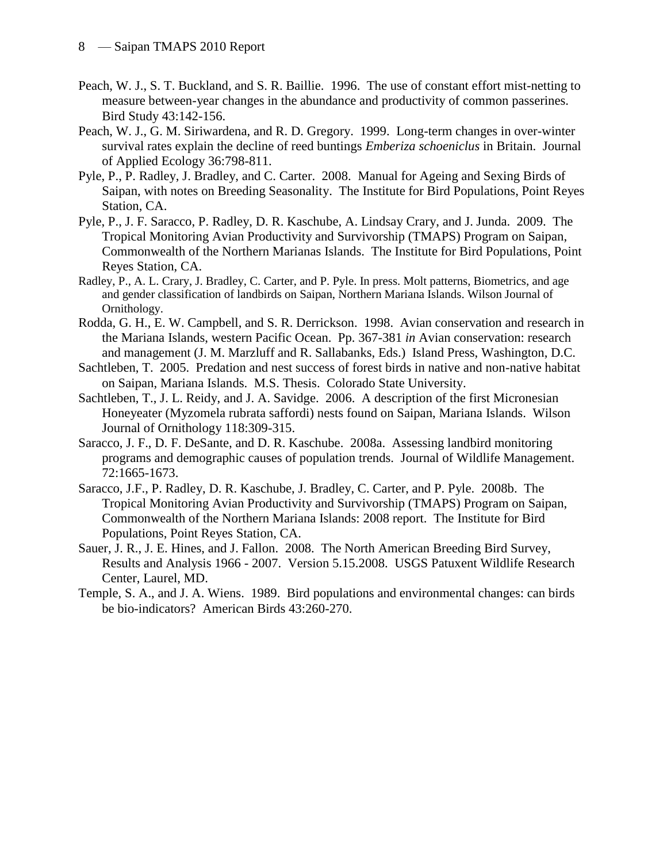- Peach, W. J., S. T. Buckland, and S. R. Baillie. 1996. The use of constant effort mist-netting to measure between-year changes in the abundance and productivity of common passerines. Bird Study 43:142-156.
- Peach, W. J., G. M. Siriwardena, and R. D. Gregory. 1999. Long-term changes in over-winter survival rates explain the decline of reed buntings *Emberiza schoeniclus* in Britain. Journal of Applied Ecology 36:798-811.
- Pyle, P., P. Radley, J. Bradley, and C. Carter. 2008. Manual for Ageing and Sexing Birds of Saipan, with notes on Breeding Seasonality. The Institute for Bird Populations, Point Reyes Station, CA.
- Pyle, P., J. F. Saracco, P. Radley, D. R. Kaschube, A. Lindsay Crary, and J. Junda. 2009. The Tropical Monitoring Avian Productivity and Survivorship (TMAPS) Program on Saipan, Commonwealth of the Northern Marianas Islands. The Institute for Bird Populations, Point Reyes Station, CA.
- Radley, P., A. L. Crary, J. Bradley, C. Carter, and P. Pyle. In press. Molt patterns, Biometrics, and age and gender classification of landbirds on Saipan, Northern Mariana Islands. Wilson Journal of Ornithology.
- Rodda, G. H., E. W. Campbell, and S. R. Derrickson. 1998. Avian conservation and research in the Mariana Islands, western Pacific Ocean. Pp. 367-381 *in* Avian conservation: research and management (J. M. Marzluff and R. Sallabanks, Eds.) Island Press, Washington, D.C.
- Sachtleben, T. 2005. Predation and nest success of forest birds in native and non-native habitat on Saipan, Mariana Islands. M.S. Thesis. Colorado State University.
- Sachtleben, T., J. L. Reidy, and J. A. Savidge. 2006. A description of the first Micronesian Honeyeater (Myzomela rubrata saffordi) nests found on Saipan, Mariana Islands. Wilson Journal of Ornithology 118:309-315.
- Saracco, J. F., D. F. DeSante, and D. R. Kaschube. 2008a. Assessing landbird monitoring programs and demographic causes of population trends. Journal of Wildlife Management. 72:1665-1673.
- Saracco, J.F., P. Radley, D. R. Kaschube, J. Bradley, C. Carter, and P. Pyle. 2008b. The Tropical Monitoring Avian Productivity and Survivorship (TMAPS) Program on Saipan, Commonwealth of the Northern Mariana Islands: 2008 report. The Institute for Bird Populations, Point Reyes Station, CA.
- Sauer, J. R., J. E. Hines, and J. Fallon. 2008. The North American Breeding Bird Survey, Results and Analysis 1966 - 2007. Version 5.15.2008. USGS Patuxent Wildlife Research Center, Laurel, MD.
- Temple, S. A., and J. A. Wiens. 1989. Bird populations and environmental changes: can birds be bio-indicators? American Birds 43:260-270.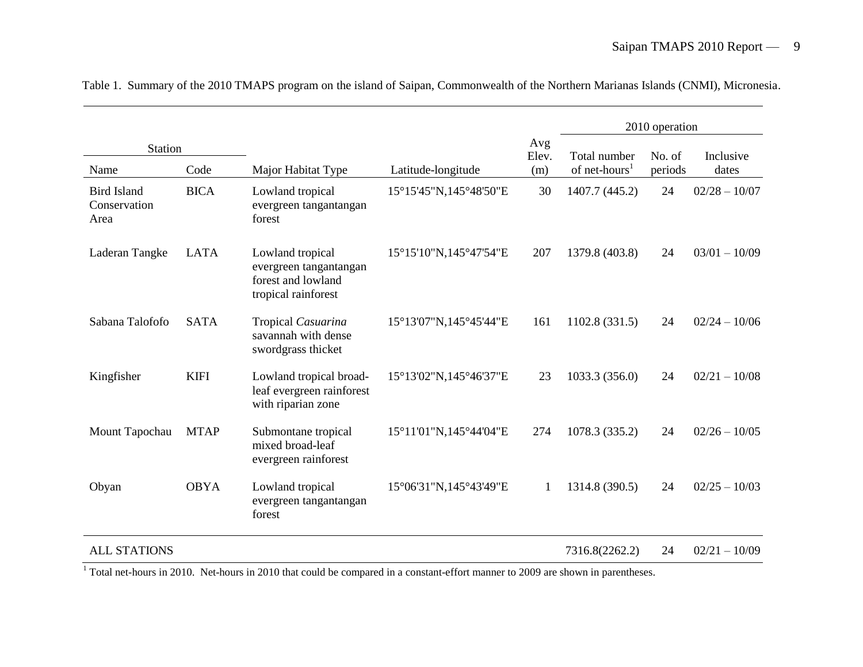|                                            |             |                                                                                         |                        |              |                           | 2010 operation |                 |
|--------------------------------------------|-------------|-----------------------------------------------------------------------------------------|------------------------|--------------|---------------------------|----------------|-----------------|
| Station                                    |             |                                                                                         |                        | Avg<br>Elev. | Total number              | No. of         | Inclusive       |
| Name                                       | Code        | Major Habitat Type                                                                      | Latitude-longitude     | (m)          | of net-hours <sup>1</sup> | periods        | dates           |
| <b>Bird Island</b><br>Conservation<br>Area | <b>BICA</b> | Lowland tropical<br>evergreen tangantangan<br>forest                                    | 15°15'45"N,145°48'50"E | 30           | 1407.7 (445.2)            | 24             | $02/28 - 10/07$ |
| Laderan Tangke                             | <b>LATA</b> | Lowland tropical<br>evergreen tangantangan<br>forest and lowland<br>tropical rainforest | 15°15'10"N,145°47'54"E | 207          | 1379.8 (403.8)            | 24             | $03/01 - 10/09$ |
| Sabana Talofofo                            | <b>SATA</b> | Tropical Casuarina<br>savannah with dense<br>swordgrass thicket                         | 15°13'07"N,145°45'44"E | 161          | 1102.8 (331.5)            | 24             | $02/24 - 10/06$ |
| Kingfisher                                 | <b>KIFI</b> | Lowland tropical broad-<br>leaf evergreen rainforest<br>with riparian zone              | 15°13'02"N,145°46'37"E | 23           | 1033.3 (356.0)            | 24             | $02/21 - 10/08$ |
| Mount Tapochau                             | <b>MTAP</b> | Submontane tropical<br>mixed broad-leaf<br>evergreen rainforest                         | 15°11'01"N,145°44'04"E | 274          | 1078.3 (335.2)            | 24             | $02/26 - 10/05$ |
| Obyan                                      | <b>OBYA</b> | Lowland tropical<br>evergreen tangantangan<br>forest                                    | 15°06'31"N,145°43'49"E | $\mathbf{1}$ | 1314.8 (390.5)            | 24             | $02/25 - 10/03$ |
| <b>ALL STATIONS</b>                        |             |                                                                                         |                        |              | 7316.8(2262.2)            | 24             | $02/21 - 10/09$ |

Table 1. Summary of the 2010 TMAPS program on the island of Saipan, Commonwealth of the Northern Marianas Islands (CNMI), Micronesia.

 $\frac{1}{1}$  Total net-hours in 2010. Net-hours in 2010 that could be compared in a constant-effort manner to 2009 are shown in parentheses.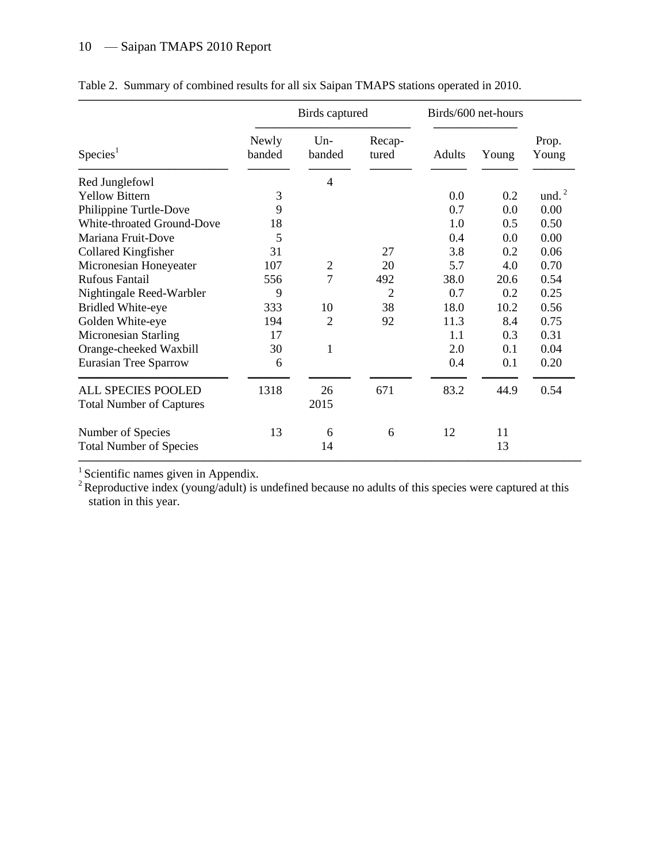|                                                              |                 | Birds captured  |                 |        | Birds/600 net-hours |                |
|--------------------------------------------------------------|-----------------|-----------------|-----------------|--------|---------------------|----------------|
| Species <sup>1</sup>                                         | Newly<br>banded | $Un-$<br>banded | Recap-<br>tured | Adults | Young               | Prop.<br>Young |
| Red Junglefowl                                               |                 | $\overline{4}$  |                 |        |                     |                |
| <b>Yellow Bittern</b>                                        | 3               |                 |                 | 0.0    | 0.2                 | und. $^{2}$    |
| Philippine Turtle-Dove                                       | 9               |                 |                 | 0.7    | 0.0                 | 0.00           |
| White-throated Ground-Dove                                   | 18              |                 |                 | 1.0    | 0.5                 | 0.50           |
| Mariana Fruit-Dove                                           | 5               |                 |                 | 0.4    | 0.0                 | 0.00           |
| Collared Kingfisher                                          | 31              |                 | 27              | 3.8    | 0.2                 | 0.06           |
| Micronesian Honeyeater                                       | 107             | $\overline{c}$  | 20              | 5.7    | 4.0                 | 0.70           |
| <b>Rufous Fantail</b>                                        | 556             | $\overline{7}$  | 492             | 38.0   | 20.6                | 0.54           |
| Nightingale Reed-Warbler                                     | 9               |                 | $\overline{2}$  | 0.7    | 0.2                 | 0.25           |
| <b>Bridled White-eye</b>                                     | 333             | 10              | 38              | 18.0   | 10.2                | 0.56           |
| Golden White-eye                                             | 194             | $\overline{2}$  | 92              | 11.3   | 8.4                 | 0.75           |
| Micronesian Starling                                         | 17              |                 |                 | 1.1    | 0.3                 | 0.31           |
| Orange-cheeked Waxbill                                       | 30              | $\mathbf{1}$    |                 | 2.0    | 0.1                 | 0.04           |
| Eurasian Tree Sparrow                                        | 6               |                 |                 | 0.4    | 0.1                 | 0.20           |
| <b>ALL SPECIES POOLED</b><br><b>Total Number of Captures</b> | 1318            | 26<br>2015      | 671             | 83.2   | 44.9                | 0.54           |
|                                                              |                 |                 |                 |        |                     |                |
| Number of Species                                            | 13              | 6               | 6               | 12     | 11                  |                |
| <b>Total Number of Species</b>                               |                 | 14              |                 |        | 13                  |                |

|  |  | Table 2. Summary of combined results for all six Saipan TMAPS stations operated in 2010. |  |
|--|--|------------------------------------------------------------------------------------------|--|
|  |  |                                                                                          |  |

 $<sup>1</sup>$  Scientific names given in Appendix.</sup>

<sup>2</sup> Reproductive index (young/adult) is undefined because no adults of this species were captured at this station in this year.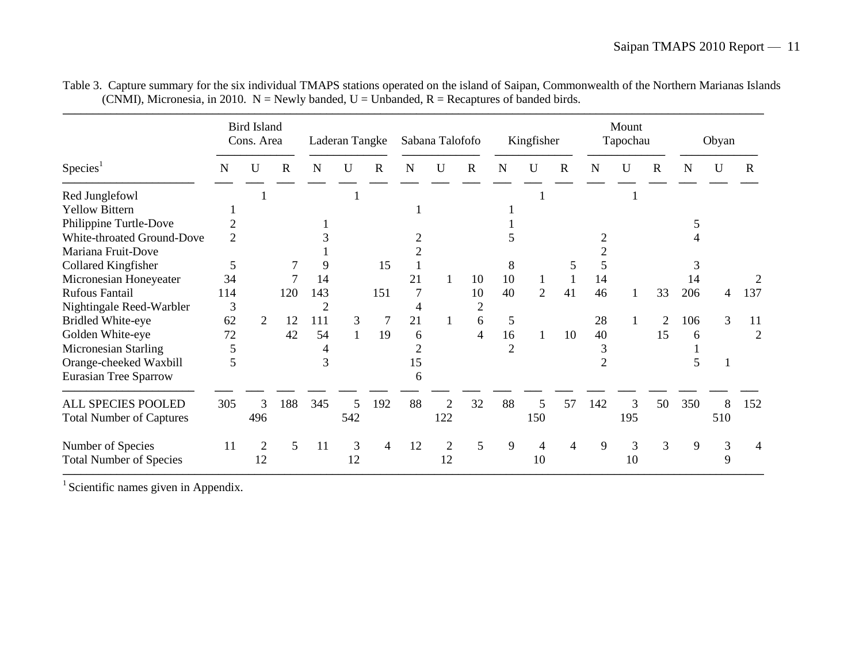|                                 |                | <b>Bird Island</b><br>Cons. Area |             |                | Laderan Tangke |                |    | Sabana Talofofo |                |                | Kingfisher     |             |             | Mount<br>Tapochau |                |     | Obyan       |                |
|---------------------------------|----------------|----------------------------------|-------------|----------------|----------------|----------------|----|-----------------|----------------|----------------|----------------|-------------|-------------|-------------------|----------------|-----|-------------|----------------|
| Species <sup>1</sup>            | N              | U                                | $\mathbf R$ | $\mathbf N$    | $\mathbf U$    | $\mathbf R$    | N  | $\mathbf U$     | $\mathbf R$    | N              | U              | $\mathbf R$ | $\mathbf N$ | $\mathbf U$       | $\mathbf R$    | N   | $\mathbf U$ | R              |
| Red Junglefowl                  |                |                                  |             |                |                |                |    |                 |                |                |                |             |             |                   |                |     |             |                |
| <b>Yellow Bittern</b>           |                |                                  |             |                |                |                |    |                 |                |                |                |             |             |                   |                |     |             |                |
| Philippine Turtle-Dove          | $\overline{2}$ |                                  |             |                |                |                |    |                 |                |                |                |             |             |                   |                |     |             |                |
| White-throated Ground-Dove      | $\overline{2}$ |                                  |             |                |                |                |    |                 |                |                |                |             |             |                   |                |     |             |                |
| Mariana Fruit-Dove              |                |                                  |             |                |                |                |    |                 |                |                |                |             |             |                   |                |     |             |                |
| Collared Kingfisher             | 5              |                                  |             | 9              |                | 15             |    |                 |                | 8              |                | 5           |             |                   |                | 3   |             |                |
| Micronesian Honeyeater          | 34             |                                  | 7           | 14             |                |                | 21 |                 | 10             | 10             |                |             | 14          |                   |                | 14  |             |                |
| Rufous Fantail                  | 114            |                                  | 120         | 143            |                | 151            |    |                 | 10             | 40             | $\overline{2}$ | 41          | 46          |                   | 33             | 206 | 4           | 137            |
| Nightingale Reed-Warbler        | 3              |                                  |             | $\overline{2}$ |                |                |    |                 | $\overline{2}$ |                |                |             |             |                   |                |     |             |                |
| <b>Bridled White-eye</b>        | 62             | $\overline{2}$                   | 12          | 111            | 3              | 7              | 21 |                 | 6              | 5              |                |             | 28          |                   | $\overline{2}$ | 106 | 3           | 11             |
| Golden White-eye                | 72             |                                  | 42          | 54             | 1              | 19             | 6  |                 | 4              | 16             |                | 10          | 40          |                   | 15             | 6   |             | $\overline{2}$ |
| <b>Micronesian Starling</b>     | 5              |                                  |             |                |                |                |    |                 |                | $\overline{2}$ |                |             | 3           |                   |                |     |             |                |
| Orange-cheeked Waxbill          | 5              |                                  |             | 3              |                |                | 15 |                 |                |                |                |             | 2           |                   |                | 5   |             |                |
| <b>Eurasian Tree Sparrow</b>    |                |                                  |             |                |                |                | 6  |                 |                |                |                |             |             |                   |                |     |             |                |
| ALL SPECIES POOLED              | 305            | 3                                | 188         | 345            | 5              | 192            | 88 | 2               | 32             | 88             | 5              | 57          | 142         | 3                 | 50             | 350 | 8           | 152            |
| <b>Total Number of Captures</b> |                | 496                              |             |                | 542            |                |    | 122             |                |                | 150            |             |             | 195               |                |     | 510         |                |
| Number of Species               | 11             | $\overline{2}$                   | 5           | 11             | 3              | $\overline{4}$ | 12 | 2               | 5              | 9              | 4              | 4           | 9           | 3                 | $\overline{3}$ | 9   | 3           | 4              |
| <b>Total Number of Species</b>  |                | 12                               |             |                | 12             |                |    | 12              |                |                | 10             |             |             | 10                |                |     | 9           |                |

Table 3. Capture summary for the six individual TMAPS stations operated on the island of Saipan, Commonwealth of the Northern Marianas Islands (CNMI), Micronesia, in 2010. N = Newly banded, U = Unbanded, R = Recaptures of banded birds.

 $1$  Scientific names given in Appendix.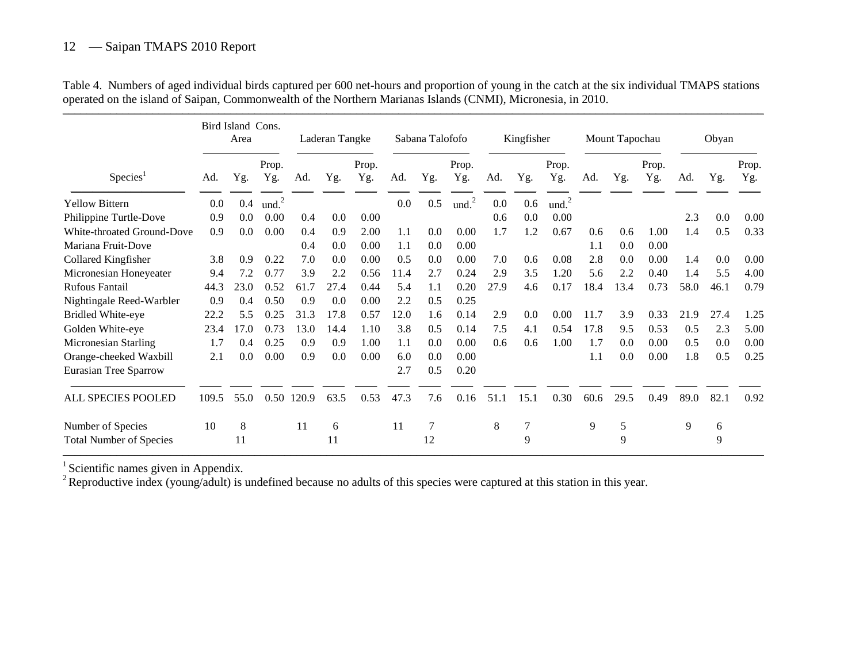|                                |       | Bird Island Cons.<br>Area |                   |       | Laderan Tangke |              |      | Sabana Talofofo |              |      | Kingfisher |                   |      | Mount Tapochau |              |      | Obyan |              |
|--------------------------------|-------|---------------------------|-------------------|-------|----------------|--------------|------|-----------------|--------------|------|------------|-------------------|------|----------------|--------------|------|-------|--------------|
| Species <sup>1</sup>           | Ad.   | Yg.                       | Prop.<br>Yg.      | Ad.   | Yg.            | Prop.<br>Yg. | Ad.  | Yg.             | Prop.<br>Yg. | Ad.  | Yg.        | Prop.<br>Yg.      | Ad.  | Yg.            | Prop.<br>Yg. | Ad.  | Yg.   | Prop.<br>Yg. |
| <b>Yellow Bittern</b>          | 0.0   | 0.4                       | und. <sup>2</sup> |       |                |              | 0.0  | 0.5             | und. $^{2}$  | 0.0  | 0.6        | und. <sup>2</sup> |      |                |              |      |       |              |
| Philippine Turtle-Dove         | 0.9   | 0.0                       | 0.00              | 0.4   | 0.0            | 0.00         |      |                 |              | 0.6  | 0.0        | 0.00              |      |                |              | 2.3  | 0.0   | 0.00         |
| White-throated Ground-Dove     | 0.9   | 0.0                       | 0.00              | 0.4   | 0.9            | 2.00         | 1.1  | 0.0             | 0.00         | 1.7  | 1.2        | 0.67              | 0.6  | 0.6            | 1.00         | 1.4  | 0.5   | 0.33         |
| Mariana Fruit-Dove             |       |                           |                   | 0.4   | 0.0            | 0.00         | 1.1  | 0.0             | 0.00         |      |            |                   | 1.1  | 0.0            | 0.00         |      |       |              |
| Collared Kingfisher            | 3.8   | 0.9                       | 0.22              | 7.0   | 0.0            | 0.00         | 0.5  | 0.0             | 0.00         | 7.0  | 0.6        | 0.08              | 2.8  | 0.0            | 0.00         | 1.4  | 0.0   | 0.00         |
| Micronesian Honeyeater         | 9.4   | 7.2                       | 0.77              | 3.9   | 2.2            | 0.56         | 11.4 | 2.7             | 0.24         | 2.9  | 3.5        | 1.20              | 5.6  | 2.2            | 0.40         | 1.4  | 5.5   | 4.00         |
| <b>Rufous Fantail</b>          | 44.3  | 23.0                      | 0.52              | 61.7  | 27.4           | 0.44         | 5.4  | 1.1             | 0.20         | 27.9 | 4.6        | 0.17              | 18.4 | 13.4           | 0.73         | 58.0 | 46.1  | 0.79         |
| Nightingale Reed-Warbler       | 0.9   | 0.4                       | 0.50              | 0.9   | 0.0            | 0.00         | 2.2  | 0.5             | 0.25         |      |            |                   |      |                |              |      |       |              |
| <b>Bridled White-eye</b>       | 22.2  | 5.5                       | 0.25              | 31.3  | 17.8           | 0.57         | 12.0 | 1.6             | 0.14         | 2.9  | 0.0        | 0.00              | 11.7 | 3.9            | 0.33         | 21.9 | 27.4  | 1.25         |
| Golden White-eye               | 23.4  | 17.0                      | 0.73              | 13.0  | 14.4           | 1.10         | 3.8  | 0.5             | 0.14         | 7.5  | 4.1        | 0.54              | 17.8 | 9.5            | 0.53         | 0.5  | 2.3   | 5.00         |
| Micronesian Starling           | 1.7   | 0.4                       | 0.25              | 0.9   | 0.9            | 1.00         | 1.1  | 0.0             | 0.00         | 0.6  | 0.6        | 1.00              | 1.7  | 0.0            | 0.00         | 0.5  | 0.0   | 0.00         |
| Orange-cheeked Waxbill         | 2.1   | 0.0                       | 0.00              | 0.9   | 0.0            | 0.00         | 6.0  | 0.0             | 0.00         |      |            |                   | 1.1  | 0.0            | 0.00         | 1.8  | 0.5   | 0.25         |
| <b>Eurasian Tree Sparrow</b>   |       |                           |                   |       |                |              | 2.7  | 0.5             | 0.20         |      |            |                   |      |                |              |      |       |              |
| ALL SPECIES POOLED             | 109.5 | 55.0                      | 0.50              | 120.9 | 63.5           | 0.53         | 47.3 | 7.6             | 0.16         | 51.1 | 15.1       | 0.30              | 60.6 | 29.5           | 0.49         | 89.0 | 82.1  | 0.92         |
| Number of Species              | 10    | 8                         |                   | 11    | 6              |              | 11   | 7               |              | 8    | 7          |                   | 9    | 5              |              | 9    | 6     |              |
| <b>Total Number of Species</b> |       | 11                        |                   |       | 11             |              |      | 12              |              |      | 9          |                   |      | 9              |              |      | 9     |              |

Table 4. Numbers of aged individual birds captured per 600 net-hours and proportion of young in the catch at the six individual TMAPS stations operated on the island of Saipan, Commonwealth of the Northern Marianas Islands (CNMI), Micronesia, in 2010.

 $<sup>1</sup>$  Scientific names given in Appendix.</sup>

<sup>2</sup> Reproductive index (young/adult) is undefined because no adults of this species were captured at this station in this year.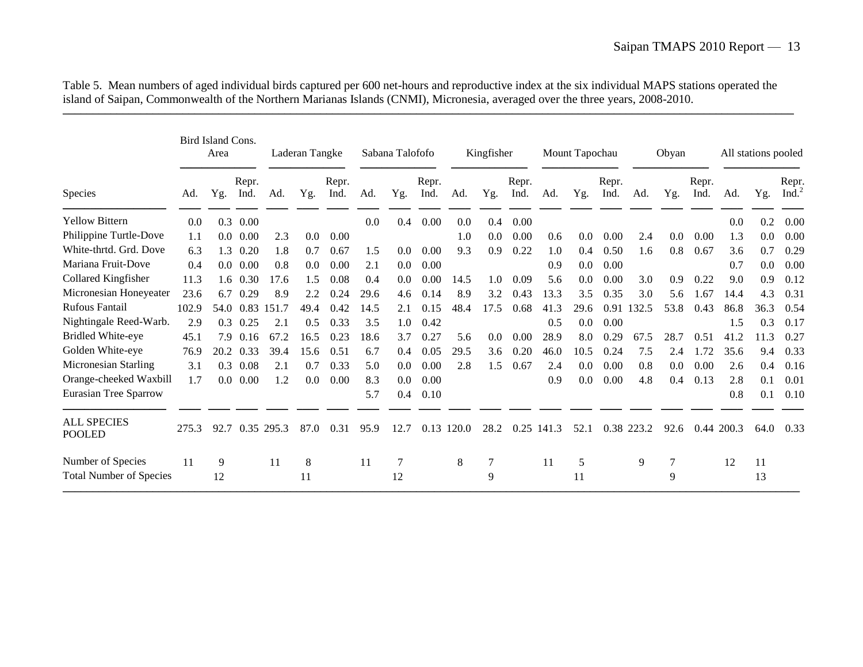|                                |       | Bird Island Cons.<br>Area |               |       | Laderan Tangke |               |      | Sabana Talofofo |               |       | Kingfisher |               |       | Mount Tapochau |               |            | Obyan |               |       | All stations pooled |                      |
|--------------------------------|-------|---------------------------|---------------|-------|----------------|---------------|------|-----------------|---------------|-------|------------|---------------|-------|----------------|---------------|------------|-------|---------------|-------|---------------------|----------------------|
| Species                        | Ad.   | Yg.                       | Repr.<br>Ind. | Ad.   | Yg.            | Repr.<br>Ind. | Ad.  | Yg.             | Repr.<br>Ind. | Ad.   | Yg.        | Repr.<br>Ind. | Ad.   | Yg.            | Repr.<br>Ind. | Ad.        | Yg.   | Repr.<br>Ind. | Ad.   | Yg.                 | Repr.<br>Ind. $^{2}$ |
| <b>Yellow Bittern</b>          | 0.0   | 0.3                       | 0.00          |       |                |               | 0.0  | 0.4             | 0.00          | 0.0   | 0.4        | 0.00          |       |                |               |            |       |               | 0.0   | 0.2                 | 0.00                 |
| Philippine Turtle-Dove         | 1.1   | $0.0\,$                   | 0.00          | 2.3   | 0.0            | 0.00          |      |                 |               | 1.0   | 0.0        | 0.00          | 0.6   | 0.0            | 0.00          | 2.4        | 0.0   | 0.00          | 1.3   | 0.0                 | 0.00                 |
| White-thrtd. Grd. Dove         | 6.3   | 1.3                       | 0.20          | 1.8   | 0.7            | 0.67          | 1.5  | 0.0             | 0.00          | 9.3   | 0.9        | 0.22          | 1.0   | 0.4            | 0.50          | 1.6        | 0.8   | 0.67          | 3.6   | 0.7                 | 0.29                 |
| Mariana Fruit-Dove             | 0.4   | 0.0                       | 0.00          | 0.8   | 0.0            | 0.00          | 2.1  | 0.0             | 0.00          |       |            |               | 0.9   | 0.0            | 0.00          |            |       |               | 0.7   | 0.0                 | 0.00                 |
| Collared Kingfisher            | 11.3  | 1.6                       | 0.30          | 17.6  | 1.5            | 0.08          | 0.4  | 0.0             | 0.00          | 14.5  | 1.0        | 0.09          | 5.6   | 0.0            | 0.00          | 3.0        | 0.9   | 0.22          | 9.0   | 0.9                 | 0.12                 |
| Micronesian Honeyeater         | 23.6  | 6.7                       | 0.29          | 8.9   | 2.2            | 0.24          | 29.6 | 4.6             | 0.14          | 8.9   | 3.2        | 0.43          | 13.3  | 3.5            | 0.35          | 3.0        | 5.6   | 1.67          | 14.4  | 4.3                 | 0.31                 |
| <b>Rufous Fantail</b>          | 102.9 | 54.0                      | 0.83          | 151.7 | 49.4           | 0.42          | 14.5 | 2.1             | 0.15          | 48.4  | 17.5       | 0.68          | 41.3  | 29.6           | 0.91          | 132.5      | 53.8  | 0.43          | 86.8  | 36.3                | 0.54                 |
| Nightingale Reed-Warb.         | 2.9   | 0.3                       | 0.25          | 2.1   | 0.5            | 0.33          | 3.5  | 1.0             | 0.42          |       |            |               | 0.5   | 0.0            | 0.00          |            |       |               | 1.5   | 0.3                 | 0.17                 |
| <b>Bridled White-eye</b>       | 45.1  | 7.9                       | 0.16          | 67.2  | 16.5           | 0.23          | 18.6 | 3.7             | 0.27          | 5.6   | 0.0        | 0.00          | 28.9  | 8.0            | 0.29          | 67.5       | 28.7  | 0.51          | 41.2  | 11.3                | 0.27                 |
| Golden White-eye               | 76.9  | 20.2                      | 0.33          | 39.4  | 15.6           | 0.51          | 6.7  | 0.4             | 0.05          | 29.5  | 3.6        | 0.20          | 46.0  | 10.5           | 0.24          | 7.5        | 2.4   | 1.72          | 35.6  | 9.4                 | 0.33                 |
| Micronesian Starling           | 3.1   | 0.3                       | 0.08          | 2.1   | 0.7            | 0.33          | 5.0  | 0.0             | 0.00          | 2.8   | 1.5        | 0.67          | 2.4   | 0.0            | 0.00          | 0.8        | 0.0   | 0.00          | 2.6   | 0.4                 | 0.16                 |
| Orange-cheeked Waxbill         | 1.7   | 0.0 <sub>1</sub>          | 0.00          | 1.2   | 0.0            | 0.00          | 8.3  | 0.0             | 0.00          |       |            |               | 0.9   | 0.0            | 0.00          | 4.8        | 0.4   | 0.13          | 2.8   | 0.1                 | 0.01                 |
| <b>Eurasian Tree Sparrow</b>   |       |                           |               |       |                |               | 5.7  | 0.4             | 0.10          |       |            |               |       |                |               |            |       |               | 0.8   | 0.1                 | 0.10                 |
| <b>ALL SPECIES</b><br>POOLED   | 275.3 | 92.7                      | 0.35          | 295.3 | 87.0           | 0.31          | 95.9 | 12.7            | 0.13          | 120.0 | 28.2       | 0.25          | 141.3 | 52.1           |               | 0.38 223.2 | 92.6  | 0.44          | 200.3 | 64.0                | 0.33                 |
| Number of Species              | 11    | 9                         |               | 11    | 8              |               | 11   | 7               |               | 8     | 7          |               | 11    | 5              |               | 9          | 7     |               | 12    | 11                  |                      |
| <b>Total Number of Species</b> |       | 12                        |               |       | 11             |               |      | 12              |               |       | 9          |               |       | 11             |               |            | 9     |               |       | 13                  |                      |

Table 5. Mean numbers of aged individual birds captured per 600 net-hours and reproductive index at the six individual MAPS stations operated the island of Saipan, Commonwealth of the Northern Marianas Islands (CNMI), Micronesia, averaged over the three years, 2008-2010.

––––––––––––––––––––––––––––––––––––––––––––––––––––––––––––––––––––––––––––––––––––––––––––––––––––––––––––––––––––––––––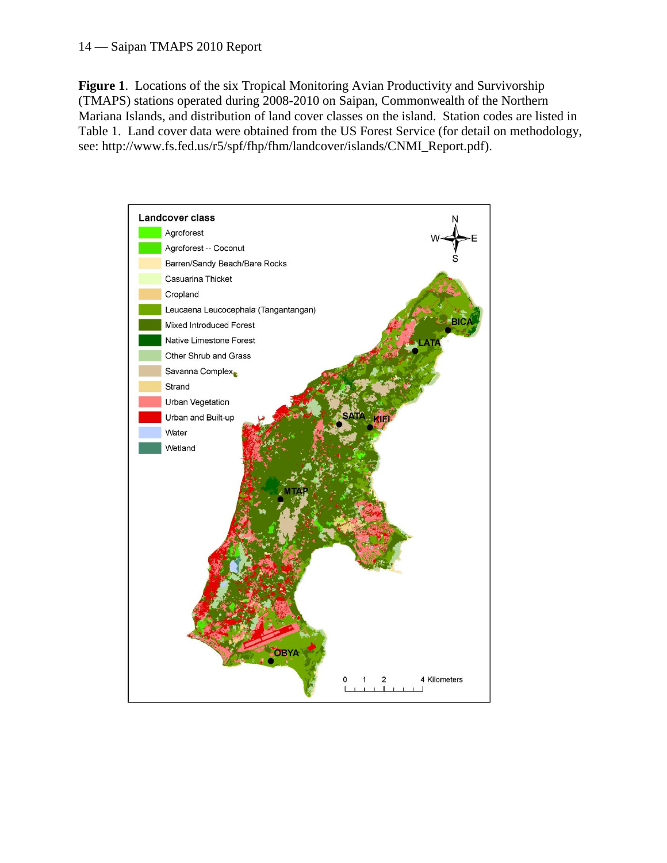**Figure 1**. Locations of the six Tropical Monitoring Avian Productivity and Survivorship (TMAPS) stations operated during 2008-2010 on Saipan, Commonwealth of the Northern Mariana Islands, and distribution of land cover classes on the island. Station codes are listed in Table 1. Land cover data were obtained from the US Forest Service (for detail on methodology, see: http://www.fs.fed.us/r5/spf/fhp/fhm/landcover/islands/CNMI\_Report.pdf).

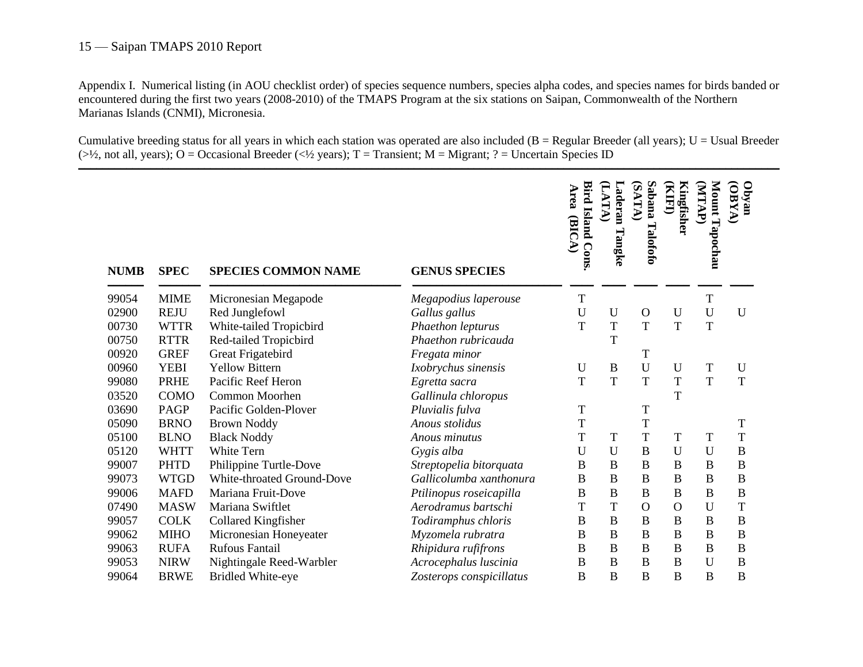Appendix I. Numerical listing (in AOU checklist order) of species sequence numbers, species alpha codes, and species names for birds banded or encountered during the first two years (2008-2010) of the TMAPS Program at the six stations on Saipan, Commonwealth of the Northern Marianas Islands (CNMI), Micronesia.

Cumulative breeding status for all years in which each station was operated are also included ( $B = Regular Breeder (all years)$ ;  $U = Usual Breeder$ ( $>1/2$ , not all, years); O = Occasional Breeder ( $<1/2$  years); T = Transient; M = Migrant; ? = Uncertain Species ID

| <b>NUMB</b> | <b>SPEC</b> | <b>SPECIES COMMON NAME</b> | <b>GENUS SPECIES</b>     | <b>Bird Island Cons</b><br>Area<br>(BICA) | (LATA)<br>Laderan<br>Tangke | Sabana<br>(SATA)<br>Talofofo | <b>KIFI)</b><br>Kingfisher | Mount Tapochau<br>(ATAP) | nevdO<br>VX3O  |
|-------------|-------------|----------------------------|--------------------------|-------------------------------------------|-----------------------------|------------------------------|----------------------------|--------------------------|----------------|
|             |             |                            |                          |                                           |                             |                              |                            |                          |                |
| 99054       | <b>MIME</b> | Micronesian Megapode       | Megapodius laperouse     | T                                         |                             |                              |                            | $\mathbf T$              |                |
| 02900       | <b>REJU</b> | Red Junglefowl             | Gallus gallus            | U                                         | U                           | $\mathbf{O}$                 | U                          | U                        | $\mathbf{U}$   |
| 00730       | <b>WTTR</b> | White-tailed Tropicbird    | Phaethon lepturus        | T                                         | T                           | $\mathbf T$                  | T                          | T                        |                |
| 00750       | <b>RTTR</b> | Red-tailed Tropicbird      | Phaethon rubricauda      |                                           | T                           |                              |                            |                          |                |
| 00920       | <b>GREF</b> | Great Frigatebird          | Fregata minor            |                                           |                             | T                            |                            |                          |                |
| 00960       | <b>YEBI</b> | <b>Yellow Bittern</b>      | Ixobrychus sinensis      | U                                         | B                           | $\mathbf U$                  | U                          | T                        | U              |
| 99080       | <b>PRHE</b> | Pacific Reef Heron         | Egretta sacra            | T                                         | T                           | $\mathbf T$                  | T                          | T                        | T              |
| 03520       | <b>COMO</b> | Common Moorhen             | Gallinula chloropus      |                                           |                             |                              | T                          |                          |                |
| 03690       | PAGP        | Pacific Golden-Plover      | Pluvialis fulva          | T                                         |                             | T                            |                            |                          |                |
| 05090       | <b>BRNO</b> | <b>Brown Noddy</b>         | Anous stolidus           | T                                         |                             | T                            |                            |                          | T              |
| 05100       | <b>BLNO</b> | <b>Black Noddy</b>         | Anous minutus            | T                                         | T                           | $\mathbf T$                  | T                          | $\mathbf T$              | T              |
| 05120       | <b>WHTT</b> | <b>White Tern</b>          | Gygis alba               | U                                         | U                           | $\bf{B}$                     | U                          | U                        | B              |
| 99007       | <b>PHTD</b> | Philippine Turtle-Dove     | Streptopelia bitorquata  | B                                         | $\, {\bf B}$                | $\, {\bf B}$                 | $\, {\bf B}$               | $\, {\bf B}$             | $\, {\bf B}$   |
| 99073       | <b>WTGD</b> | White-throated Ground-Dove | Gallicolumba xanthonura  | B                                         | $\overline{B}$              | $\overline{B}$               | $\mathbf B$                | $\overline{B}$           | $\overline{B}$ |
| 99006       | <b>MAFD</b> | Mariana Fruit-Dove         | Ptilinopus roseicapilla  | B                                         | $\bf{B}$                    | $\, {\bf B}$                 | $\bf{B}$                   | $\, {\bf B}$             | $\overline{B}$ |
| 07490       | <b>MASW</b> | Mariana Swiftlet           | Aerodramus bartschi      | T                                         | T                           | $\overline{O}$               | $\mathbf{O}$               | U                        | T              |
| 99057       | <b>COLK</b> | Collared Kingfisher        | Todiramphus chloris      | B                                         | $\boldsymbol{B}$            | $\, {\bf B}$                 | $\, {\bf B}$               | $\bf{B}$                 | $\bf{B}$       |
| 99062       | <b>MIHO</b> | Micronesian Honeyeater     | Myzomela rubratra        | B                                         | $\overline{B}$              | $\bf{B}$                     | $\bf{B}$                   | $\overline{B}$           | $\bf{B}$       |
| 99063       | <b>RUFA</b> | <b>Rufous Fantail</b>      | Rhipidura rufifrons      | B                                         | $\boldsymbol{B}$            | $\bf{B}$                     | $\bf{B}$                   | B                        | $\bf{B}$       |
| 99053       | <b>NIRW</b> | Nightingale Reed-Warbler   | Acrocephalus luscinia    | B                                         | B                           | $\bf{B}$                     | $\bf{B}$                   | U                        | B              |
| 99064       | <b>BRWE</b> | <b>Bridled White-eye</b>   | Zosterops conspicillatus | B                                         | $\mathbf B$                 | B                            | B                          | B                        | $\mathbf B$    |